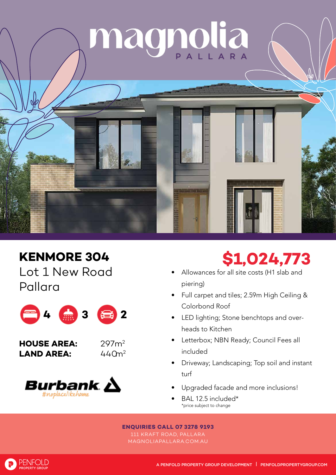

## **KENMORE 304**

Lot 1 New Road Pallara



**HOUSE AREA:** 297m2 **LAND AREA:** 





## **\$1,024,773**

- Allowances for all site costs (H1 slab and piering)
- Full carpet and tiles; 2.59m High Ceiling & Colorbond Roof
- LED lighting; Stone benchtops and overheads to Kitchen
- Letterbox; NBN Ready; Council Fees all included
- Driveway; Landscaping; Top soil and instant turf
- Upgraded facade and more inclusions!
- BAL 12.5 included\* \*price subject to change

## **ENQUIRIES CALL 07 3278 9193**